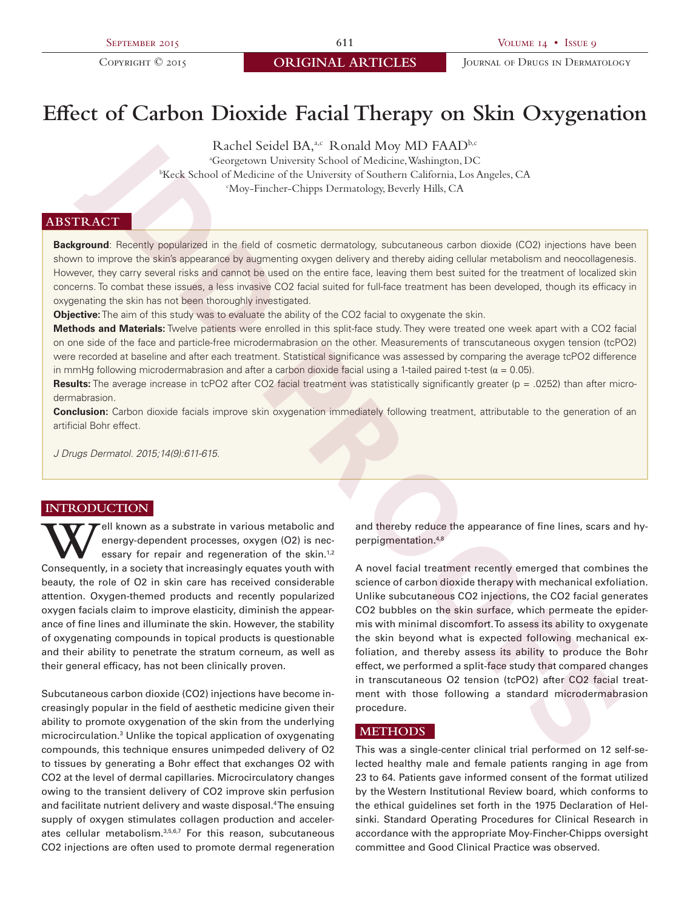# **Effect of Carbon Dioxide Facial Therapy on Skin Oxygenation**

Rachel Seidel BA,<sup>a,c</sup> Ronald Moy MD FAADb,c a Georgetown University School of Medicine, Washington, DC Execk School of Medicine of the University of Southern California, Los Angeles, CA<br>
"Mov Fincher Chinne Dermatology Beyerly Hille CA Moy-Fincher-Chipps Dermatology, Beverly Hills, CA

## **ABSTRACT**

**Background**: Recently popularized in the field of cosmetic dermatology, subcutaneous carbon dioxide (CO2) injections have been shown to improve the skin's appearance by augmenting oxygen delivery and thereby aiding cellular metabolism and neocollagenesis. However, they carry several risks and cannot be used on the entire face, leaving them best suited for the treatment of localized skin concerns. To combat these issues, a less invasive CO2 facial suited for full-face treatment has been developed, though its efficacy in oxygenating the skin has not been thoroughly investigated.

**Objective:** The aim of this study was to evaluate the ability of the CO2 facial to oxygenate the skin.

**Methods and Materials:** Twelve patients were enrolled in this split-face study. They were treated one week apart with a CO2 facial on one side of the face and particle-free microdermabrasion on the other. Measurements of transcutaneous oxygen tension (tcPO2) were recorded at baseline and after each treatment. Statistical significance was assessed by comparing the average tcPO2 difference in mmHg following microdermabrasion and after a carbon dioxide facial using a 1-tailed paired t-test ( $\alpha$  = 0.05).

Results: The average increase in tcPO2 after CO2 facial treatment was statistically significantly greater (p = .0252) than after microdermabrasion.

**Conclusion:** Carbon dioxide facials improve skin oxygenation immediately following treatment, attributable to the generation of an artificial Bohr effect.

*J Drugs Dermatol. 2015;14(9):611-615.*

## **INTRODUCTION**

**W**ell known as a substrate in various metabolic and<br>energy-dependent processes, oxygen (O2) is necessary for repair and regeneration of the skin.<sup>1,2</sup><br>Consequently, in a society that increasingly equates youth with energy-dependent processes, oxygen (O2) is necessary for repair and regeneration of the skin.<sup>1,2</sup> Consequently, in a society that increasingly equates youth with beauty, the role of O2 in skin care has received considerable attention. Oxygen-themed products and recently popularized oxygen facials claim to improve elasticity, diminish the appearance of fine lines and illuminate the skin. However, the stability of oxygenating compounds in topical products is questionable and their ability to penetrate the stratum corneum, as well as their general efficacy, has not been clinically proven.

Subcutaneous carbon dioxide (CO2) injections have become increasingly popular in the field of aesthetic medicine given their ability to promote oxygenation of the skin from the underlying microcirculation.<sup>3</sup> Unlike the topical application of oxygenating compounds, this technique ensures unimpeded delivery of O2 to tissues by generating a Bohr effect that exchanges O2 with CO2 at the level of dermal capillaries. Microcirculatory changes owing to the transient delivery of CO2 improve skin perfusion and facilitate nutrient delivery and waste disposal.<sup>4</sup>The ensuing supply of oxygen stimulates collagen production and accelerates cellular metabolism.<sup>3,5,6,7</sup> For this reason, subcutaneous CO2 injections are often used to promote dermal regeneration

and thereby reduce the appearance of fine lines, scars and hyperpigmentation.4,8

A novel facial treatment recently emerged that combines the science of carbon dioxide therapy with mechanical exfoliation. Unlike subcutaneous CO2 injections, the CO2 facial generates CO2 bubbles on the skin surface, which permeate the epidermis with minimal discomfort. To assess its ability to oxygenate the skin beyond what is expected following mechanical exfoliation, and thereby assess its ability to produce the Bohr effect, we performed a split-face study that compared changes in transcutaneous O2 tension (tcPO2) after CO2 facial treatment with those following a standard microdermabrasion procedure. **Healted Exited Exited ADA**<sup>2</sup> Round May MDJP RAD<sup>2</sup> Records that the specifical Relationship (Second of Medicinal May MDJP Records the specifical field frequency of Southern Collisions, 1.68, Angeles, CA<br> **JPC** Theoretic

#### **METHODS**

This was a single-center clinical trial performed on 12 self-selected healthy male and female patients ranging in age from 23 to 64. Patients gave informed consent of the format utilized by the Western Institutional Review board, which conforms to the ethical guidelines set forth in the 1975 Declaration of Helsinki. Standard Operating Procedures for Clinical Research in accordance with the appropriate Moy-Fincher-Chipps oversight committee and Good Clinical Practice was observed.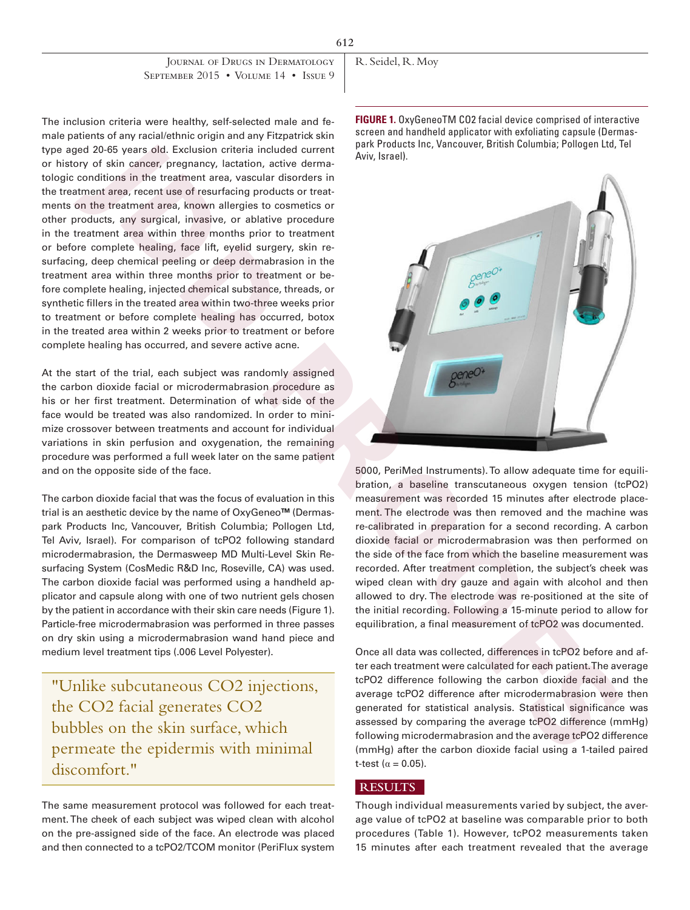JOURNAL OF DRUGS IN DERMATOLOGY SEPTEMBER 2015 • VOLUME 14 • ISSUE 9

The inclusion criteria were healthy, self-selected male and female patients of any racial/ethnic origin and any Fitzpatrick skin type aged 20-65 years old. Exclusion criteria included current or history of skin cancer, pregnancy, lactation, active dermatologic conditions in the treatment area, vascular disorders in the treatment area, recent use of resurfacing products or treatments on the treatment area, known allergies to cosmetics or other products, any surgical, invasive, or ablative procedure in the treatment area within three months prior to treatment or before complete healing, face lift, eyelid surgery, skin resurfacing, deep chemical peeling or deep dermabrasion in the treatment area within three months prior to treatment or before complete healing, injected chemical substance, threads, or synthetic fillers in the treated area within two-three weeks prior to treatment or before complete healing has occurred, botox in the treated area within 2 weeks prior to treatment or before complete healing has occurred, and severe active acne.

At the start of the trial, each subject was randomly assigned the carbon dioxide facial or microdermabrasion procedure as his or her first treatment. Determination of what side of the face would be treated was also randomized. In order to minimize crossover between treatments and account for individual variations in skin perfusion and oxygenation, the remaining procedure was performed a full week later on the same patient and on the opposite side of the face.

The carbon dioxide facial that was the focus of evaluation in this trial is an aesthetic device by the name of OxyGeneo**TM** (Dermaspark Products Inc, Vancouver, British Columbia; Pollogen Ltd, Tel Aviv, Israel). For comparison of tcPO2 following standard microdermabrasion, the Dermasweep MD Multi-Level Skin Resurfacing System (CosMedic R&D Inc, Roseville, CA) was used. The carbon dioxide facial was performed using a handheld applicator and capsule along with one of two nutrient gels chosen by the patient in accordance with their skin care needs (Figure 1). Particle-free microdermabrasion was performed in three passes on dry skin using a microdermabrasion wand hand piece and medium level treatment tips (.006 Level Polyester).

"Unlike subcutaneous CO2 injections, the CO2 facial generates CO2 bubbles on the skin surface, which permeate the epidermis with minimal discomfort."

The same measurement protocol was followed for each treatment. The cheek of each subject was wiped clean with alcohol on the pre-assigned side of the face. An electrode was placed and then connected to a tcPO2/TCOM monitor (PeriFlux system

R. Seidel, R. Moy

**FIGURE 1.** OxyGeneoTM CO2 facial device comprised of interactive screen and handheld applicator with exfoliating capsule (Dermaspark Products Inc, Vancouver, British Columbia; Pollogen Ltd, Tel Aviv, Israel).

5000, PeriMed Instruments). To allow adequate time for equilibration, a baseline transcutaneous oxygen tension (tcPO2) measurement was recorded 15 minutes after electrode placement. The electrode was then removed and the machine was re-calibrated in preparation for a second recording. A carbon dioxide facial or microdermabrasion was then performed on the side of the face from which the baseline measurement was recorded. After treatment completion, the subject's cheek was wiped clean with dry gauze and again with alcohol and then allowed to dry. The electrode was re-positioned at the site of the initial recording. Following a 15-minute period to allow for equilibration, a final measurement of tcPO2 was documented.

Once all data was collected, differences in tcPO2 before and after each treatment were calculated for each patient. The average tcPO2 difference following the carbon dioxide facial and the average tcPO2 difference after microdermabrasion were then generated for statistical analysis. Statistical significance was assessed by comparing the average tcPO2 difference (mmHg) following microdermabrasion and the average tcPO2 difference (mmHg) after the carbon dioxide facial using a 1-tailed paired t-test ( $\alpha = 0.05$ ).

## **RESULTS**

Though individual measurements varied by subject, the average value of tcPO2 at baseline was comparable prior to both procedures (Table 1). However, tcPO2 measurements taken 15 minutes after each treatment revealed that the average

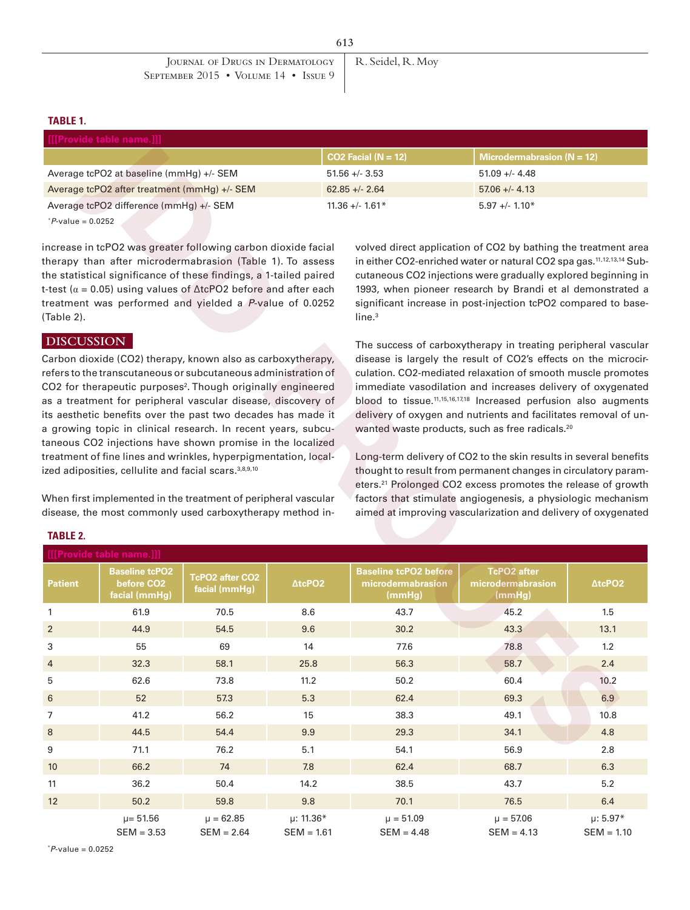**613**

#### **TABLE 1.**

| [[[Provide table name.]]]                    |                       |                                |  |  |  |  |  |
|----------------------------------------------|-----------------------|--------------------------------|--|--|--|--|--|
|                                              | $CO2$ Facial (N = 12) | Microdermabrasion ( $N = 12$ ) |  |  |  |  |  |
| Average tcPO2 at baseline (mmHg) +/- SEM     | $51.56 + - 3.53$      | $51.09 + - 4.48$               |  |  |  |  |  |
| Average tcPO2 after treatment (mmHg) +/- SEM | $62.85 + - 2.64$      | $57.06 + - 4.13$               |  |  |  |  |  |
| Average tcPO2 difference (mmHg) +/- SEM      | $11.36 + - 1.61*$     | $5.97 +/- 1.10*$               |  |  |  |  |  |

## **DISCUSSION**

|                                                                                                                                                                                                                                                                                                                                                                                                                                                                                                                                                                                                                                                                                                                                                                                                 | <b>Illunovine rapie ilalile</b>                                  |                                  |                                | $CO2$ Facial (N = 12)                                       |                                                                                                                                                                                                                                                                                                                                                                                                                                                                                                                                                                                                                                                                                                                                                                     | Microdermabrasion ( $N = 12$ )                    |                                                               |  |
|-------------------------------------------------------------------------------------------------------------------------------------------------------------------------------------------------------------------------------------------------------------------------------------------------------------------------------------------------------------------------------------------------------------------------------------------------------------------------------------------------------------------------------------------------------------------------------------------------------------------------------------------------------------------------------------------------------------------------------------------------------------------------------------------------|------------------------------------------------------------------|----------------------------------|--------------------------------|-------------------------------------------------------------|---------------------------------------------------------------------------------------------------------------------------------------------------------------------------------------------------------------------------------------------------------------------------------------------------------------------------------------------------------------------------------------------------------------------------------------------------------------------------------------------------------------------------------------------------------------------------------------------------------------------------------------------------------------------------------------------------------------------------------------------------------------------|---------------------------------------------------|---------------------------------------------------------------|--|
|                                                                                                                                                                                                                                                                                                                                                                                                                                                                                                                                                                                                                                                                                                                                                                                                 | Average tcPO2 at baseline (mmHg) +/- SEM                         |                                  |                                | $51.56 + - 3.53$                                            |                                                                                                                                                                                                                                                                                                                                                                                                                                                                                                                                                                                                                                                                                                                                                                     | $51.09 + - 4.48$                                  |                                                               |  |
|                                                                                                                                                                                                                                                                                                                                                                                                                                                                                                                                                                                                                                                                                                                                                                                                 | Average tcPO2 after treatment (mmHg) +/- SEM                     |                                  |                                | $62.85 + - 2.64$                                            |                                                                                                                                                                                                                                                                                                                                                                                                                                                                                                                                                                                                                                                                                                                                                                     | $57.06 + - 4.13$                                  |                                                               |  |
|                                                                                                                                                                                                                                                                                                                                                                                                                                                                                                                                                                                                                                                                                                                                                                                                 | Average tcPO2 difference (mmHg) +/- SEM                          |                                  |                                | $11.36 + - 1.61*$                                           |                                                                                                                                                                                                                                                                                                                                                                                                                                                                                                                                                                                                                                                                                                                                                                     | $5.97 +/- 1.10*$                                  |                                                               |  |
| $P$ -value = 0.0252                                                                                                                                                                                                                                                                                                                                                                                                                                                                                                                                                                                                                                                                                                                                                                             |                                                                  |                                  |                                |                                                             |                                                                                                                                                                                                                                                                                                                                                                                                                                                                                                                                                                                                                                                                                                                                                                     |                                                   |                                                               |  |
| increase in tcPO2 was greater following carbon dioxide facial<br>therapy than after microdermabrasion (Table 1). To assess<br>the statistical significance of these findings, a 1-tailed paired<br>t-test ( $\alpha$ = 0.05) using values of $\Delta$ tcPO2 before and after each<br>treatment was performed and yielded a P-value of 0.0252<br>(Table 2).                                                                                                                                                                                                                                                                                                                                                                                                                                      |                                                                  |                                  |                                | line <sup>3</sup>                                           | volved direct application of CO2 by bathing the treatment area<br>in either CO2-enriched water or natural CO2 spa gas. <sup>11,12,13,14</sup> Sub-<br>cutaneous CO2 injections were gradually explored beginning in<br>1993, when pioneer research by Brandi et al demonstrated a<br>significant increase in post-injection tcPO2 compared to base-                                                                                                                                                                                                                                                                                                                                                                                                                 |                                                   |                                                               |  |
| <b>DISCUSSION</b>                                                                                                                                                                                                                                                                                                                                                                                                                                                                                                                                                                                                                                                                                                                                                                               |                                                                  |                                  |                                |                                                             |                                                                                                                                                                                                                                                                                                                                                                                                                                                                                                                                                                                                                                                                                                                                                                     |                                                   | The success of carboxytherapy in treating peripheral vascular |  |
| Carbon dioxide (CO2) therapy, known also as carboxytherapy,<br>refers to the transcutaneous or subcutaneous administration of<br>CO2 for therapeutic purposes <sup>2</sup> . Though originally engineered<br>as a treatment for peripheral vascular disease, discovery of<br>its aesthetic benefits over the past two decades has made it<br>a growing topic in clinical research. In recent years, subcu-<br>taneous CO2 injections have shown promise in the localized<br>treatment of fine lines and wrinkles, hyperpigmentation, local-<br>ized adiposities, cellulite and facial scars. <sup>3,8,9,10</sup><br>When first implemented in the treatment of peripheral vascular<br>disease, the most commonly used carboxytherapy method in-<br><b>TABLE 2.</b><br>[[[Provide table name.]]] |                                                                  |                                  |                                |                                                             | disease is largely the result of CO2's effects on the microcir-<br>culation. CO2-mediated relaxation of smooth muscle promotes<br>immediate vasodilation and increases delivery of oxygenated<br>blood to tissue. <sup>11,15,16,17,18</sup> Increased perfusion also augments<br>delivery of oxygen and nutrients and facilitates removal of un-<br>wanted waste products, such as free radicals. <sup>20</sup><br>Long-term delivery of CO2 to the skin results in several benefits<br>thought to result from permanent changes in circulatory param-<br>eters. <sup>21</sup> Prolonged CO2 excess promotes the release of growth<br>factors that stimulate angiogenesis, a physiologic mechanism<br>aimed at improving vascularization and delivery of oxygenated |                                                   |                                                               |  |
| Patient                                                                                                                                                                                                                                                                                                                                                                                                                                                                                                                                                                                                                                                                                                                                                                                         | <b>Baseline tcPO2</b><br>before CO <sub>2</sub><br>facial (mmHg) | TcPO2 after CO2<br>facial (mmHg) | ∆tcPO2                         | <b>Baseline tcPO2 before</b><br>microdermabrasion<br>(mmHg) |                                                                                                                                                                                                                                                                                                                                                                                                                                                                                                                                                                                                                                                                                                                                                                     | <b>TcPO2</b> after<br>microdermabrasion<br>(mmHg) | <b>∆tcPO2</b>                                                 |  |
| 1                                                                                                                                                                                                                                                                                                                                                                                                                                                                                                                                                                                                                                                                                                                                                                                               | 61.9                                                             | 70.5                             | 8.6                            | 43.7                                                        |                                                                                                                                                                                                                                                                                                                                                                                                                                                                                                                                                                                                                                                                                                                                                                     | 45.2                                              | 1.5                                                           |  |
| $\overline{2}$                                                                                                                                                                                                                                                                                                                                                                                                                                                                                                                                                                                                                                                                                                                                                                                  | 44.9                                                             | 54.5                             | 9.6                            | 30.2                                                        |                                                                                                                                                                                                                                                                                                                                                                                                                                                                                                                                                                                                                                                                                                                                                                     | 43.3                                              | 13.1                                                          |  |
| 3                                                                                                                                                                                                                                                                                                                                                                                                                                                                                                                                                                                                                                                                                                                                                                                               | 55                                                               | 69                               | 14                             | 77.6                                                        |                                                                                                                                                                                                                                                                                                                                                                                                                                                                                                                                                                                                                                                                                                                                                                     | 78.8                                              | 1.2                                                           |  |
| 4                                                                                                                                                                                                                                                                                                                                                                                                                                                                                                                                                                                                                                                                                                                                                                                               | 32.3                                                             | 58.1                             | 25.8                           | 56.3                                                        |                                                                                                                                                                                                                                                                                                                                                                                                                                                                                                                                                                                                                                                                                                                                                                     | 58.7                                              | 2.4                                                           |  |
| 5                                                                                                                                                                                                                                                                                                                                                                                                                                                                                                                                                                                                                                                                                                                                                                                               | 62.6                                                             | 73.8                             | 11.2                           | 50.2                                                        |                                                                                                                                                                                                                                                                                                                                                                                                                                                                                                                                                                                                                                                                                                                                                                     | 60.4                                              | 10.2                                                          |  |
| 6                                                                                                                                                                                                                                                                                                                                                                                                                                                                                                                                                                                                                                                                                                                                                                                               | 52                                                               | 57.3                             | 5.3                            | 62.4                                                        |                                                                                                                                                                                                                                                                                                                                                                                                                                                                                                                                                                                                                                                                                                                                                                     | 69.3                                              | 6.9                                                           |  |
| $\overline{7}$                                                                                                                                                                                                                                                                                                                                                                                                                                                                                                                                                                                                                                                                                                                                                                                  | 41.2                                                             | 56.2                             | 15                             | 38.3                                                        |                                                                                                                                                                                                                                                                                                                                                                                                                                                                                                                                                                                                                                                                                                                                                                     | 49.1                                              | 10.8                                                          |  |
| 8                                                                                                                                                                                                                                                                                                                                                                                                                                                                                                                                                                                                                                                                                                                                                                                               | 44.5                                                             | 54.4                             | 9.9                            | 29.3                                                        |                                                                                                                                                                                                                                                                                                                                                                                                                                                                                                                                                                                                                                                                                                                                                                     | 34.1                                              | 4.8                                                           |  |
| 9                                                                                                                                                                                                                                                                                                                                                                                                                                                                                                                                                                                                                                                                                                                                                                                               | 71.1                                                             | 76.2                             | 5.1                            | 54.1                                                        |                                                                                                                                                                                                                                                                                                                                                                                                                                                                                                                                                                                                                                                                                                                                                                     | 56.9                                              | 2.8                                                           |  |
| 10                                                                                                                                                                                                                                                                                                                                                                                                                                                                                                                                                                                                                                                                                                                                                                                              | 66.2                                                             | 74                               | 7.8                            | 62.4                                                        |                                                                                                                                                                                                                                                                                                                                                                                                                                                                                                                                                                                                                                                                                                                                                                     | 68.7                                              | 6.3                                                           |  |
| 11                                                                                                                                                                                                                                                                                                                                                                                                                                                                                                                                                                                                                                                                                                                                                                                              | 36.2                                                             | 50.4                             | 14.2                           | 38.5                                                        |                                                                                                                                                                                                                                                                                                                                                                                                                                                                                                                                                                                                                                                                                                                                                                     | 43.7                                              | 5.2                                                           |  |
| 12                                                                                                                                                                                                                                                                                                                                                                                                                                                                                                                                                                                                                                                                                                                                                                                              | 50.2                                                             | 59.8                             | 9.8                            | 70.1                                                        |                                                                                                                                                                                                                                                                                                                                                                                                                                                                                                                                                                                                                                                                                                                                                                     | 76.5                                              | 6.4                                                           |  |
|                                                                                                                                                                                                                                                                                                                                                                                                                                                                                                                                                                                                                                                                                                                                                                                                 | $\mu = 51.56$<br>$SEM = 3.53$                                    | $\mu = 62.85$<br>$SEM = 2.64$    | $\mu$ : 11.36*<br>$SEM = 1.61$ | $\mu = 51.09$<br>$SEM = 4.48$                               |                                                                                                                                                                                                                                                                                                                                                                                                                                                                                                                                                                                                                                                                                                                                                                     | $\mu = 57.06$<br>$SEM = 4.13$                     | $\mu$ : 5.97*<br>$SEM = 1.10$                                 |  |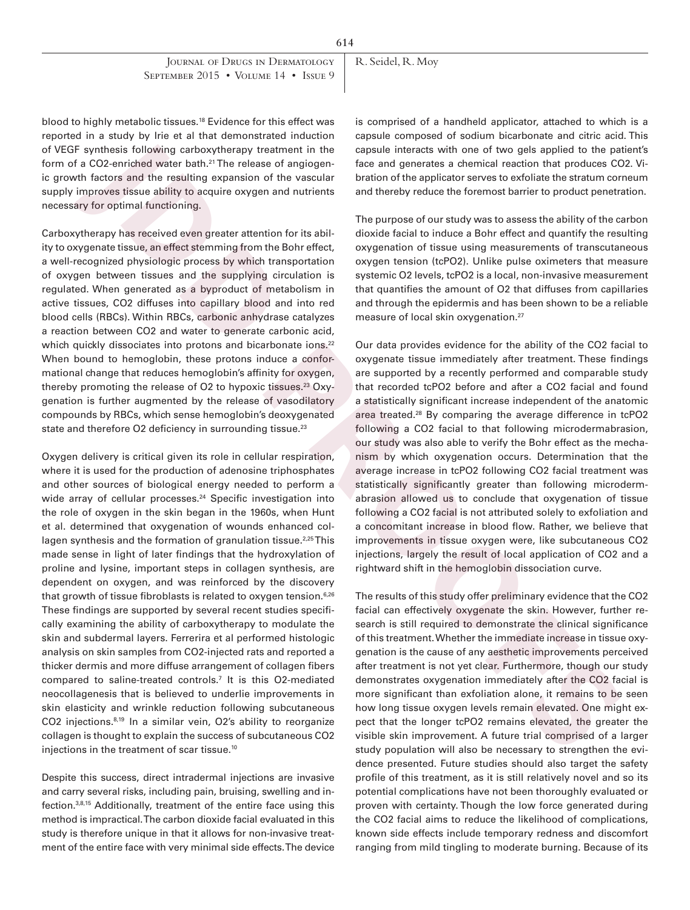| JOURNAL OF DRUGS IN DERMATOLOGY   R. Seidel, R. Moy<br>SEPTEMBER $2015 \cdot$ VOLUME 14 $\cdot$ ISSUE 9 |  |
|---------------------------------------------------------------------------------------------------------|--|
|                                                                                                         |  |

**614**

blood to highly metabolic tissues.<sup>18</sup> Evidence for this effect was reported in a study by Irie et al that demonstrated induction of VEGF synthesis following carboxytherapy treatment in the form of a CO2-enriched water bath.<sup>21</sup> The release of angiogenic growth factors and the resulting expansion of the vascular supply improves tissue ability to acquire oxygen and nutrients necessary for optimal functioning.

Carboxytherapy has received even greater attention for its ability to oxygenate tissue, an effect stemming from the Bohr effect, a well-recognized physiologic process by which transportation of oxygen between tissues and the supplying circulation is regulated. When generated as a byproduct of metabolism in active tissues, CO2 diffuses into capillary blood and into red blood cells (RBCs). Within RBCs, carbonic anhydrase catalyzes a reaction between CO2 and water to generate carbonic acid, which quickly dissociates into protons and bicarbonate ions.<sup>22</sup> When bound to hemoglobin, these protons induce a conformational change that reduces hemoglobin's affinity for oxygen, thereby promoting the release of O2 to hypoxic tissues.<sup>23</sup> Oxygenation is further augmented by the release of vasodilatory compounds by RBCs, which sense hemoglobin's deoxygenated state and therefore O2 deficiency in surrounding tissue.<sup>23</sup>

Oxygen delivery is critical given its role in cellular respiration, where it is used for the production of adenosine triphosphates and other sources of biological energy needed to perform a wide array of cellular processes.<sup>24</sup> Specific investigation into the role of oxygen in the skin began in the 1960s, when Hunt et al. determined that oxygenation of wounds enhanced collagen synthesis and the formation of granulation tissue. $2,25$ This made sense in light of later findings that the hydroxylation of proline and lysine, important steps in collagen synthesis, are dependent on oxygen, and was reinforced by the discovery that growth of tissue fibroblasts is related to oxygen tension.<sup>6,26</sup> These findings are supported by several recent studies specifically examining the ability of carboxytherapy to modulate the skin and subdermal layers. Ferrerira et al performed histologic analysis on skin samples from CO2-injected rats and reported a thicker dermis and more diffuse arrangement of collagen fibers compared to saline-treated controls.7 It is this O2-mediated neocollagenesis that is believed to underlie improvements in skin elasticity and wrinkle reduction following subcutaneous CO2 injections.8,19 In a similar vein, O2's ability to reorganize collagen is thought to explain the success of subcutaneous CO2 injections in the treatment of scar tissue.10 hythiscon for the production and the main the capsed interacts with one of the galaxies in the capsed to the pair and the capsed interaction of the pair and the pair and the capsed interaction of the pair and the capsed in

Despite this success, direct intradermal injections are invasive and carry several risks, including pain, bruising, swelling and infection.3,8,15 Additionally, treatment of the entire face using this method is impractical. The carbon dioxide facial evaluated in this study is therefore unique in that it allows for non-invasive treatment of the entire face with very minimal side effects. The device

is comprised of a handheld applicator, attached to which is a capsule composed of sodium bicarbonate and citric acid. This capsule interacts with one of two gels applied to the patient's face and generates a chemical reaction that produces CO2. Vibration of the applicator serves to exfoliate the stratum corneum and thereby reduce the foremost barrier to product penetration.

The purpose of our study was to assess the ability of the carbon dioxide facial to induce a Bohr effect and quantify the resulting oxygenation of tissue using measurements of transcutaneous oxygen tension (tcPO2). Unlike pulse oximeters that measure systemic O2 levels, tcPO2 is a local, non-invasive measurement that quantifies the amount of O2 that diffuses from capillaries and through the epidermis and has been shown to be a reliable measure of local skin oxygenation.<sup>27</sup>

Our data provides evidence for the ability of the CO2 facial to oxygenate tissue immediately after treatment. These findings are supported by a recently performed and comparable study that recorded tcPO2 before and after a CO2 facial and found a statistically significant increase independent of the anatomic area treated.<sup>28</sup> By comparing the average difference in tcPO2 following a CO2 facial to that following microdermabrasion, our study was also able to verify the Bohr effect as the mechanism by which oxygenation occurs. Determination that the average increase in tcPO2 following CO2 facial treatment was statistically significantly greater than following microdermabrasion allowed us to conclude that oxygenation of tissue following a CO2 facial is not attributed solely to exfoliation and a concomitant increase in blood flow. Rather, we believe that improvements in tissue oxygen were, like subcutaneous CO2 injections, largely the result of local application of CO2 and a rightward shift in the hemoglobin dissociation curve.

The results of this study offer preliminary evidence that the CO2 facial can effectively oxygenate the skin. However, further research is still required to demonstrate the clinical significance of this treatment. Whether the immediate increase in tissue oxygenation is the cause of any aesthetic improvements perceived after treatment is not yet clear. Furthermore, though our study demonstrates oxygenation immediately after the CO2 facial is more significant than exfoliation alone, it remains to be seen how long tissue oxygen levels remain elevated. One might expect that the longer tcPO2 remains elevated, the greater the visible skin improvement. A future trial comprised of a larger study population will also be necessary to strengthen the evidence presented. Future studies should also target the safety profile of this treatment, as it is still relatively novel and so its potential complications have not been thoroughly evaluated or proven with certainty. Though the low force generated during the CO2 facial aims to reduce the likelihood of complications, known side effects include temporary redness and discomfort ranging from mild tingling to moderate burning. Because of its